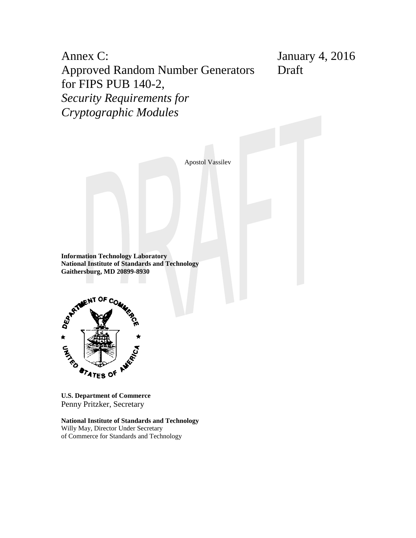Annex C: Approved Random Number Generators for FIPS PUB 140-2, *Security Requirements for Cryptographic Modules* January 4, 2016 Draft

Apostol Vassilev

**Information Technology Laboratory National Institute of Standards and Technology Gaithersburg, MD 20899-8930**



**U.S. Department of Commerce** Penny Pritzker, Secretary

**National Institute of Standards and Technology** Willy May, Director Under Secretary of Commerce for Standards and Technology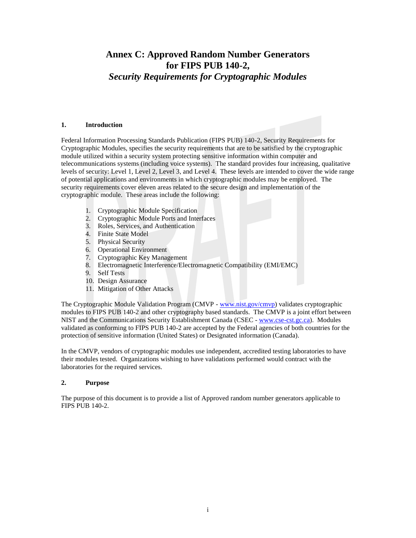# **Annex C: Approved Random Number Generators for FIPS PUB 140-2,** *Security Requirements for Cryptographic Modules*

#### **1. Introduction**

Federal Information Processing Standards Publication (FIPS PUB) 140-2, Security Requirements for Cryptographic Modules, specifies the security requirements that are to be satisfied by the cryptographic module utilized within a security system protecting sensitive information within computer and telecommunications systems (including voice systems). The standard provides four increasing, qualitative levels of security: Level 1, Level 2, Level 3, and Level 4. These levels are intended to cover the wide range of potential applications and environments in which cryptographic modules may be employed. The security requirements cover eleven areas related to the secure design and implementation of the cryptographic module. These areas include the following:

- 1. Cryptographic Module Specification
- 2. Cryptographic Module Ports and Interfaces
- 3. Roles, Services, and Authentication
- 4. Finite State Model
- 5. Physical Security
- 6. Operational Environment
- 7. Cryptographic Key Management
- 8. Electromagnetic Interference/Electromagnetic Compatibility (EMI/EMC)
- 9. Self Tests
- 10. Design Assurance
- 11. Mitigation of Other Attacks

The Cryptographic Module Validation Program (CMVP - [www.nist.gov/cmvp\)](http://www.nist.gov/cmvp) validates cryptographic modules to FIPS PUB 140-2 and other cryptography based standards. The CMVP is a joint effort between NIST and the Communications Security Establishment Canada (CSEC - [www.cse-cst.gc.ca\)](http://www.cse-cst.gc.ca/). Modules validated as conforming to FIPS PUB 140-2 are accepted by the Federal agencies of both countries for the protection of sensitive information (United States) or Designated information (Canada).

In the CMVP, vendors of cryptographic modules use independent, accredited testing laboratories to have their modules tested. Organizations wishing to have validations performed would contract with the laboratories for the required services.

#### **2. Purpose**

The purpose of this document is to provide a list of Approved random number generators applicable to FIPS PUB 140-2.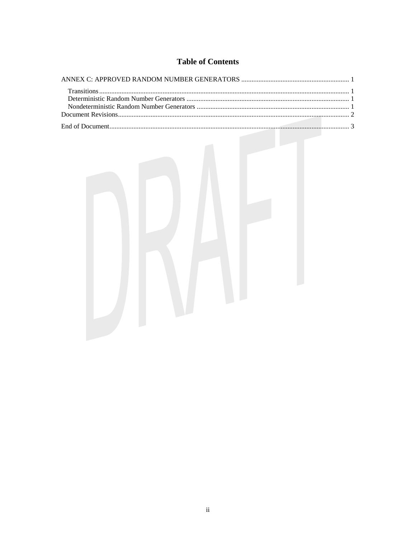# **Table of Contents**

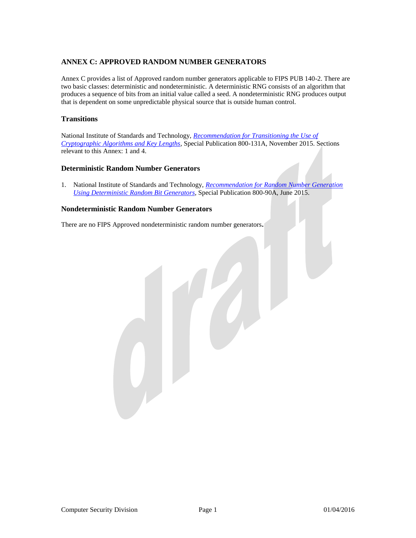# <span id="page-3-0"></span>**ANNEX C: APPROVED RANDOM NUMBER GENERATORS**

Annex C provides a list of Approved random number generators applicable to FIPS PUB 140-2. There are two basic classes: deterministic and nondeterministic. A deterministic RNG consists of an algorithm that produces a sequence of bits from an initial value called a seed. A nondeterministic RNG produces output that is dependent on some unpredictable physical source that is outside human control.

## <span id="page-3-1"></span>**Transitions**

National Institute of Standards and Technology, *[Recommendation for Transitioning the Use of](http://nvlpubs.nist.gov/nistpubs/SpecialPublications/NIST.SP.800-131Ar1.pdf)  [Cryptographic Algorithms and Key Lengths](http://nvlpubs.nist.gov/nistpubs/SpecialPublications/NIST.SP.800-131Ar1.pdf)*, Special Publication 800-131A, November 2015. Sections relevant to this Annex: 1 and 4.

### <span id="page-3-2"></span>**Deterministic Random Number Generators**

1. National Institute of Standards and Technology, *[Recommendation for Random Number Generation](http://nvlpubs.nist.gov/nistpubs/SpecialPublications/NIST.SP.800-90Ar1.pdf)  [Using Deterministic Random Bit Generators](http://nvlpubs.nist.gov/nistpubs/SpecialPublications/NIST.SP.800-90Ar1.pdf)*, Special Publication 800-90A, June 2015.

## <span id="page-3-3"></span>**Nondeterministic Random Number Generators**

There are no FIPS Approved nondeterministic random number generators**.**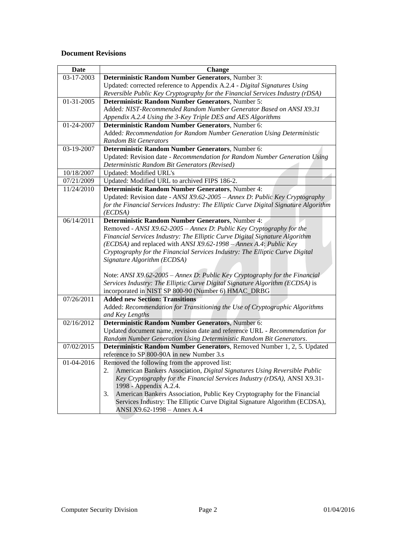## <span id="page-4-0"></span>**Document Revisions**

| Date       | <b>Change</b>                                                                                                                                  |
|------------|------------------------------------------------------------------------------------------------------------------------------------------------|
| 03-17-2003 | Deterministic Random Number Generators, Number 3:                                                                                              |
|            | Updated: corrected reference to Appendix A.2.4 - Digital Signatures Using                                                                      |
|            | Reversible Public Key Cryptography for the Financial Services Industry (rDSA)                                                                  |
| 01-31-2005 | Deterministic Random Number Generators, Number 5:                                                                                              |
|            | Added: NIST-Recommended Random Number Generator Based on ANSI X9.31                                                                            |
|            | Appendix A.2.4 Using the 3-Key Triple DES and AES Algorithms                                                                                   |
| 01-24-2007 | Deterministic Random Number Generators, Number 6:                                                                                              |
|            | Added: Recommendation for Random Number Generation Using Deterministic                                                                         |
|            | <b>Random Bit Generators</b>                                                                                                                   |
| 03-19-2007 | Deterministic Random Number Generators, Number 6:                                                                                              |
|            | Updated: Revision date - Recommendation for Random Number Generation Using                                                                     |
|            | Deterministic Random Bit Generators (Revised)                                                                                                  |
| 10/18/2007 | <b>Updated:</b> Modified URL's                                                                                                                 |
| 07/21/2009 | Updated: Modified URL to archived FIPS 186-2.                                                                                                  |
| 11/24/2010 | Deterministic Random Number Generators, Number 4:                                                                                              |
|            | Updated: Revision date - ANSI X9.62-2005 - Annex D: Public Key Cryptography                                                                    |
|            | for the Financial Services Industry: The Elliptic Curve Digital Signature Algorithm                                                            |
|            | (ECDSA)                                                                                                                                        |
| 06/14/2011 | Deterministic Random Number Generators, Number 4:                                                                                              |
|            | Removed - ANSI X9.62-2005 - Annex D: Public Key Cryptography for the                                                                           |
|            | Financial Services Industry: The Elliptic Curve Digital Signature Algorithm                                                                    |
|            | (ECDSA) and replaced with ANSI X9.62-1998 - Annex A.4: Public Key                                                                              |
|            | Cryptography for the Financial Services Industry: The Elliptic Curve Digital                                                                   |
|            | Signature Algorithm (ECDSA)                                                                                                                    |
|            |                                                                                                                                                |
|            | Note: ANSI X9.62-2005 - Annex D: Public Key Cryptography for the Financial                                                                     |
|            | Services Industry: The Elliptic Curve Digital Signature Algorithm (ECDSA) is                                                                   |
|            | incorporated in NIST SP 800-90 (Number 6) HMAC_DRBG                                                                                            |
| 07/26/2011 | <b>Added new Section: Transitions</b>                                                                                                          |
|            | Added: Recommendation for Transitioning the Use of Cryptographic Algorithms                                                                    |
|            | and Key Lengths                                                                                                                                |
| 02/16/2012 | Deterministic Random Number Generators, Number 6:                                                                                              |
|            | Updated document name, revision date and reference URL - Recommendation for                                                                    |
| 07/02/2015 | Random Number Generation Using Deterministic Random Bit Generators.<br>Deterministic Random Number Generators, Removed Number 1, 2, 5. Updated |
|            | reference to SP 800-90A in new Number 3.s                                                                                                      |
| 01-04-2016 | Removed the following from the approved list:                                                                                                  |
|            | American Bankers Association, Digital Signatures Using Reversible Public<br>2.                                                                 |
|            | Key Cryptography for the Financial Services Industry (rDSA), ANSI X9.31-                                                                       |
|            | 1998 - Appendix A.2.4.                                                                                                                         |
|            | 3.<br>American Bankers Association, Public Key Cryptography for the Financial                                                                  |
|            | Services Industry: The Elliptic Curve Digital Signature Algorithm (ECDSA),                                                                     |
|            | ANSI X9.62-1998 - Annex A.4                                                                                                                    |
|            |                                                                                                                                                |